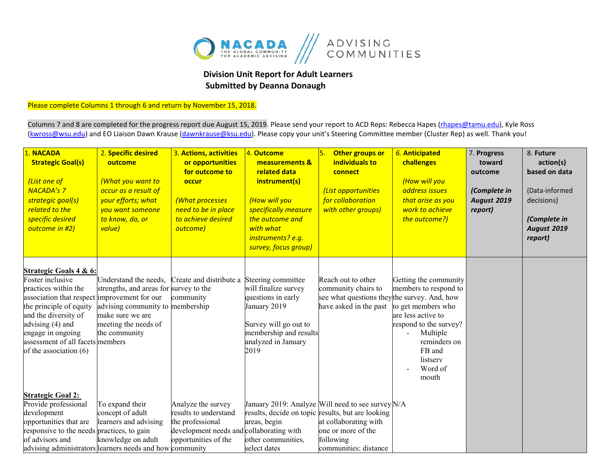

## **Division Unit Report for Adult Learners Submitted by Deanna Donaugh**

Please complete Columns 1 through 6 and return by November 15, 2018.

Columns 7 and 8 are completed for the progress report due August 15, 2019. Please send your report to ACD Reps: Rebecca Hapes (*rhapes@tamu.edu*), Kyle Ross [\(kwross@wsu.edu\)](mailto:kwross@wsu.edu) and EO Liaison Dawn Krause (dawnkrause@ksu.edu). Please copy your unit's Steering Committee member (Cluster Rep) as well. Thank you!

| 1. NACADA<br><b>Strategic Goal(s)</b><br>(List one of<br><b>NACADA's 7</b><br>strategic goal(s)<br>related to the<br>specific desired<br>outcome in #2)                                                                                                                                 | 2. Specific desired<br>outcome<br>(What you want to<br>occur as a result of<br>your efforts; what<br>vou want someone<br>to know, do, or<br>value)                                       | 3. Actions, activities<br>or opportunities<br>for outcome to<br>occur<br>(What processes<br>need to be in place<br>to achieve desired<br>outcome) | 4. Outcome<br>measurements &<br>related data<br>instrument(s)<br>(How will you<br>specifically measure<br>the outcome and<br>with what<br>instruments? e.g.<br>survey, focus group) | 5.<br>Other groups or<br>individuals to<br>connect<br>(List opportunities<br>for collaboration<br>with other groups)                   | 6. Anticipated<br>challenges<br>(How will you<br>address issues<br>that arise as you<br>work to achieve<br>the outcome?)                                                                   | 7. Progress<br>toward<br>outcome<br>(Complete in<br>August 2019<br>report) | 8. Future<br>action(s)<br>based on data<br>(Data-informed<br>decisions)<br>(Complete in<br>August 2019<br>report) |
|-----------------------------------------------------------------------------------------------------------------------------------------------------------------------------------------------------------------------------------------------------------------------------------------|------------------------------------------------------------------------------------------------------------------------------------------------------------------------------------------|---------------------------------------------------------------------------------------------------------------------------------------------------|-------------------------------------------------------------------------------------------------------------------------------------------------------------------------------------|----------------------------------------------------------------------------------------------------------------------------------------|--------------------------------------------------------------------------------------------------------------------------------------------------------------------------------------------|----------------------------------------------------------------------------|-------------------------------------------------------------------------------------------------------------------|
| <b>Strategic Goals 4 &amp; 6:</b><br>Foster inclusive<br>practices within the<br>association that respect improvement for our<br>the principle of equity<br>and the diversity of<br>advising (4) and<br>engage in ongoing<br>assessment of all facets members<br>of the association (6) | Understand the needs, Create and distribute a<br>strengths, and areas for survey to the<br>advising community to membership<br>make sure we are<br>meeting the needs of<br>the community | community                                                                                                                                         | Steering committee<br>will finalize survey<br>questions in early<br>January 2019<br>Survey will go out to<br>membership and results<br>analyzed in January<br>2019                  | Reach out to other<br>community chairs to<br>see what questions they the survey. And, how<br>have asked in the past                    | Getting the community<br>members to respond to<br>to get members who<br>are less active to<br>respond to the survey?<br>Multiple<br>reminders on<br>FB and<br>listserv<br>Word of<br>mouth |                                                                            |                                                                                                                   |
| <b>Strategic Goal 2:</b><br>Provide professional<br>development<br>opportunities that are<br>responsive to the needs practices, to gain<br>of advisors and<br>advising administrators learners needs and how community                                                                  | To expand their<br>concept of adult<br>learners and advising<br>knowledge on adult                                                                                                       | Analyze the survey<br>results to understand<br>the professional<br>development needs and collaborating with<br>opportunities of the               | results, decide on topic results, but are looking<br>areas, begin<br>other communities,<br>select dates                                                                             | January 2019: Analyze Will need to see survey N/A<br>at collaborating with<br>one or more of the<br>following<br>communities: distance |                                                                                                                                                                                            |                                                                            |                                                                                                                   |